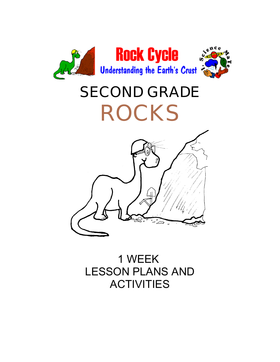

# **SECOND GRADE ROCKS**



1 WEEK LESSON PLANS AND **ACTIVITIES**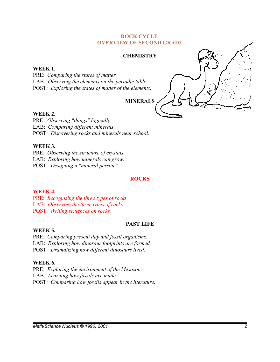#### **ROCK CYCLE OVERVIEW OF SECOND GRADE**

#### **CHEMISTRY**

#### **WEEK 1.**

PRE: *Comparing the states of matter.* LAB: *Observing the elements on the periodic table.* POST: *Exploring the states of matter of the elements.*

**MINERALS**

#### **WEEK 2.**

PRE: *Observing "things" logically.* LAB: *Comparing different minerals.* POST: *Discovering rocks and minerals near school.*

#### **WEEK 3.**

PRE: *Observing the structure of crystals.* LAB: *Exploring how minerals can grow.* POST: *Designing a "mineral person."*

#### **ROCKS**

#### **WEEK 4.**

PRE: *Recognizing the three types of rocks.* LAB: *Observing the three types of rocks.* POST: *Writing sentences on rocks.*

#### **PAST LIFE**

# **WEEK 5.**

PRE: *Comparing present day and fossil organisms.* LAB: *Exploring how dinosaur footprints are formed.* POST: *Dramatizing how different dinosaurs lived.*

## **WEEK 6.**

PRE: *Exploring the environment of the Mesozoic.* LAB: *Learning how fossils are made.* POST: *Comparing how fossils appear in the literature.*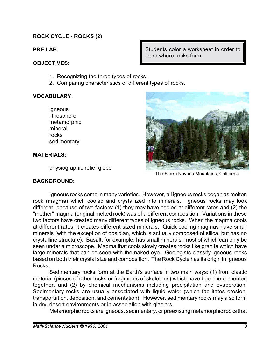# **ROCK CYCLE - ROCKS (2)**

**PRE LAB**

## **OBJECTIVES:**

- 1. Recognizing the three types of rocks.
- 2. Comparing characteristics of different types of rocks.

# **VOCABULARY:**

igneous lithosphere metamorphic mineral rocks sedimentary

# **MATERIALS:**

physiographic relief globe

# **BACKGROUND:**

Students color a worksheet in order to learn where rocks form.



The Sierra Nevada Mountains, California

Igneous rocks come in many varieties. However, all igneous rocks began as molten rock (magma) which cooled and crystallized into minerals. Igneous rocks may look different because of two factors: (1) they may have cooled at different rates and (2) the "mother" magma (original melted rock) was of a different composition. Variations in these two factors have created many different types of igneous rocks. When the magma cools at different rates, it creates different sized minerals. Quick cooling magmas have small minerals (with the exception of obsidian, which is actually composed of silica, but has no crystalline structure). Basalt, for example, has small minerals, most of which can only be seen under a microscope. Magma that cools slowly creates rocks like granite which have large minerals that can be seen with the naked eye. Geologists classify igneous rocks based on both their crystal size and composition. The Rock Cycle has its origin in Igneous Rocks.

Sedimentary rocks form at the Earth's surface in two main ways: (1) from clastic material (pieces of other rocks or fragments of skeletons) which have become cemented together, and (2) by chemical mechanisms including precipitation and evaporation. Sedimentary rocks are usually associated with liquid water (which facilitates erosion, transportation, deposition, and cementation). However, sedimentary rocks may also form in dry, desert environments or in association with glaciers.

Metamorphic rocks are igneous, sedimentary, or preexisting metamorphic rocks that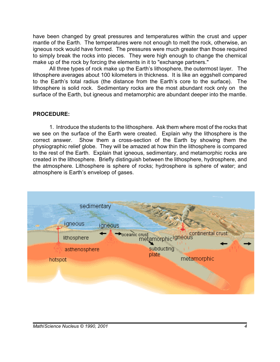have been changed by great pressures and temperatures within the crust and upper mantle of the Earth. The temperatures were not enough to melt the rock, otherwise, an igneous rock would have formed. The pressures were much greater than those required to simply break the rocks into pieces. They were high enough to change the chemical make up of the rock by forcing the elements in it to "exchange partners."

All three types of rock make up the Earth's lithosphere, the outermost layer. The lithosphere averages about 100 kilometers in thickness. It is like an eggshell compared to the Earth's total radius (the distance from the Earth's core to the surface). The lithosphere is solid rock. Sedimentary rocks are the most abundant rock only on the surface of the Earth, but igneous and metamorphic are abundant deeper into the mantle.

## **PROCEDURE:**

1. Introduce the students to the lithosphere. Ask them where most of the rocks that we see on the surface of the Earth were created. Explain why the lithosphere is the correct answer. Show them a cross-section of the Earth by showing them the physiographic relief globe. They will be amazed at how thin the lithosphere is compared to the rest of the Earth. Explain that igneous, sedimentary, and metamorphic rocks are created in the lithosphere. Briefly distinguish between the lithosphere, hydrosphere, and the atmosphere. Lithosphere is sphere of rocks; hydrosphere is sphere of water; and atmosphere is Earth's enveloep of gases.

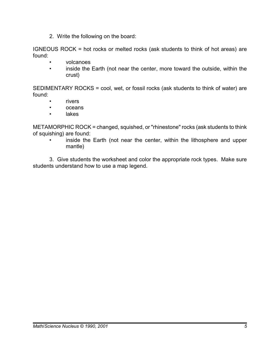2. Write the following on the board:

IGNEOUS ROCK = hot rocks or melted rocks (ask students to think of hot areas) are found:

- volcanoes
- inside the Earth (not near the center, more toward the outside, within the crust)

SEDIMENTARY ROCKS = cool, wet, or fossil rocks (ask students to think of water) are found:

- rivers
- oceans
- lakes

METAMORPHIC ROCK = changed, squished, or "rhinestone" rocks (ask students to think of squishing) are found:

inside the Earth (not near the center, within the lithosphere and upper mantle)

3. Give students the worksheet and color the appropriate rock types. Make sure students understand how to use a map legend.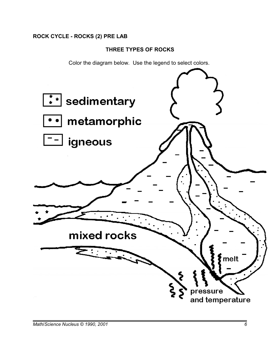# **ROCK CYCLE - ROCKS (2) PRE LAB**

# **THREE TYPES OF ROCKS**

Color the diagram below. Use the legend to select colors.

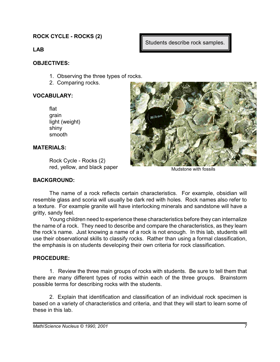**ROCK CYCLE - ROCKS (2)**

**LAB**

# **OBJECTIVES:**

- 1. Observing the three types of rocks.
- 2. Comparing rocks.

# **VOCABULARY:**

| flat           |
|----------------|
| grain          |
| light (weight) |
| shiny          |
| smooth         |

# **MATERIALS:**

Rock Cycle - Rocks (2) red, yellow, and black paper

# **BACKGROUND:**



Students describe rock samples.

Mudstone with fossils

The name of a rock reflects certain characteristics. For example, obsidian will resemble glass and scoria will usually be dark red with holes. Rock names also refer to a texture. For example granite will have interlocking minerals and sandstone will have a gritty, sandy feel.

Young children need to experience these characteristics before they can internalize the name of a rock. They need to describe and compare the characteristics, as they learn the rock's name. Just knowing a name of a rock is not enough. In this lab, students will use their observational skills to classify rocks. Rather than using a formal classification, the emphasis is on students developing their own criteria for rock classification.

# **PROCEDURE:**

1. Review the three main groups of rocks with students. Be sure to tell them that there are many different types of rocks within each of the three groups. Brainstorm possible terms for describing rocks with the students.

2. Explain that identification and classification of an individual rock specimen is based on a variety of characteristics and criteria, and that they will start to learn some of these in this lab.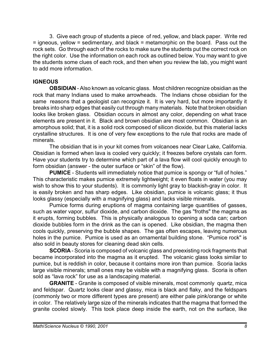3. Give each group of students a piece of red, yellow, and black paper. Write red = igneous, yellow = sedimentary, and black = metamorphic on the board. Pass out the rock sets. Go through each of the rocks to make sure the students put the correct rock on the right color. Use the information on each rock as outlined below. You may want to give the students some clues of each rock, and then when you review the lab, you might want to add more information.

# **IGNEOUS**

**OBSIDIAN** - Also known as volcanic glass. Most children recognize obsidian as the rock that many Indians used to make arrowheads. The Indians chose obsidian for the same reasons that a geologist can recognize it. It is very hard, but more importantly it breaks into sharp edges that easily cut through many materials. Note that broken obsidian looks like broken glass. Obsidian occurs in almost any color, depending on what trace elements are present in it. Black and brown obsidian are most common. Obsidian is an amorphous solid; that, it is a solid rock composed of silicon dioxide, but this material lacks crystalline structures. It is one of very few exceptions to the rule that rocks are made of minerals.

The obsidian that is in your kit comes from volcanoes near Clear Lake, California. Obsidian is formed when lava is cooled very quickly; it freezes before crystals can form. Have your students try to determine which part of a lava flow will cool quickly enough to form obsidian (answer - the outer surface or "skin" of the flow).

**PUMICE** - Students will immediately notice that pumice is spongy or "full of holes." This characteristic makes pumice extremely lightweight; it even floats in water (you may wish to show this to your students). It is commonly light gray to blackish-gray in color. It is easily broken and has sharp edges. Like obsidian, pumice is volcanic glass; it thus looks glassy (especially with a magnifying glass) and lacks visible minerals.

Pumice forms during eruptions of magma containing large quantities of gasses, such as water vapor, sulfur dioxide, and carbon dioxide. The gas "froths" the magma as it erupts, forming bubbles. This is physically analogous to opening a soda can; carbon dioxide bubbles form in the drink as the can is opened. Like obsidian, the magma then cools quickly, preserving the bubble shapes. The gas often escapes, leaving numerous holes in the pumice. Pumice is used as an ornamental building stone. "Pumice rock" is also sold in beauty stores for cleaning dead skin cells.

**SCORIA** - Scoria is composed of volcanic glass and preexisting rock fragments that became incorporated into the magma as it erupted. The volcanic glass looks similar to pumice, but is reddish in color, because it contains more iron than pumice. Scoria lacks large visible minerals; small ones may be visible with a magnifying glass. Scoria is often sold as "lava rock" for use as a landscaping material.

**GRANITE** - Granite is composed of visible minerals, most commonly quartz, mica and feldspar. Quartz looks clear and glassy, mica is black and flaky, and the feldspars (commonly two or more different types are present) are either pale pink/orange or white in color. The relatively large size of the minerals indicates that the magma that formed the granite cooled slowly. This took place deep inside the earth, not on the surface, like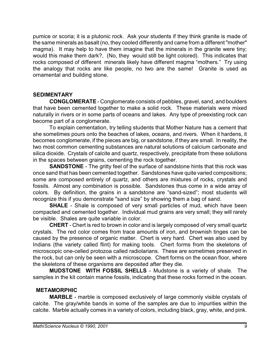pumice or scoria; it is a plutonic rock. Ask your students if they think granite is made of the same minerals as basalt (no, they cooled differently and came from a different "mother" magma). It may help to have them imagine that the minerals in the granite were tiny; would this make them dark?, (No, they would still be light colored). This indicates that rocks composed of different minerals likely have different magma "mothers." Try using the analogy that rocks are like people, no two are the same! Granite is used as ornamental and building stone.

# **SEDIMENTARY**

**CONGLOMERATE** - Conglomerate consists of pebbles, gravel, sand, and boulders that have been cemented together to make a solid rock. These materials were mixed naturally in rivers or in some parts of oceans and lakes. Any type of preexisting rock can become part of a conglomerate.

To explain cementation, try telling students that Mother Nature has a cement that she sometimes pours onto the beaches of lakes, oceans, and rivers. When it hardens, it becomes conglomerate, if the pieces are big, or sandstone, if they are small. In reality, the two most common cementing substances are natural solutions of calcium carbonate and silica dioxide. Crystals of calcite and quartz, respectively, precipitate from these solutions in the spaces between grains, cementing the rock together.

**SANDSTONE** - The gritty feel of the surface of sandstone hints that this rock was once sand that has been cemented together. Sandstones have quite varied compositions; some are composed entirely of quartz, and others are mixtures of rocks, crystals and fossils. Almost any combination is possible. Sandstones thus come in a wide array of colors. By definition, the grains in a sandstone are "sand-sized"; most students will recognize this if you demonstrate "sand size" by showing them a bag of sand.

**SHALE** - Shale is composed of very small particles of mud, which have been compacted and cemented together. Individual mud grains are very small; they will rarely be visible. Shales are quite variable in color.

**CHERT** - Chert is red to brown in color and is largely composed of very small quartz crystals. The red color comes from trace amounts of iron, and brownish tinges can be caused by the presence of organic matter. Chert is very hard. Chert was also used by Indians (the variety called flint) for making tools. Chert forms from the skeletons of microscopic one-celled protozoa called radiolarians. These are sometimes preserved in the rock, but can only be seen with a microscope. Chert forms on the ocean floor, where the skeletons of these organisms are deposited after they die.

**MUDSTONE WITH FOSSIL SHELLS** - Mudstone is a variety of shale. The samples in the kit contain marine fossils, indicating that these rocks formed in the ocean.

# **METAMORPHIC**

**MARBLE** - marble is composed exclusively of large commonly visible crystals of calcite. The gray/white bands in some of the samples are due to impurities within the calcite. Marble actually comes in a variety of colors, including black, gray, white, and pink.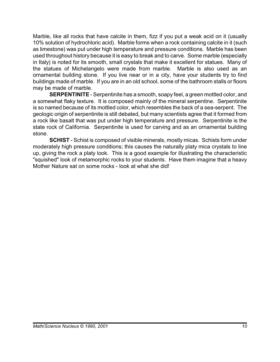Marble, like all rocks that have calcite in them, fizz if you put a weak acid on it (usually 10% solution of hydrochloric acid). Marble forms when a rock containing calcite in it (such as limestone) was put under high temperature and pressure conditions. Marble has been used throughout history because it is easy to break and to carve. Some marble (especially in Italy) is noted for its smooth, small crystals that make it excellent for statues. Many of the statues of Michelangelo were made from marble. Marble is also used as an ornamental building stone. If you live near or in a city, have your students try to find buildings made of marble. If you are in an old school, some of the bathroom stalls or floors may be made of marble.

**SERPENTINITE** - Serpentinite has a smooth, soapy feel, a green mottled color, and a somewhat flaky texture. It is composed mainly of the mineral serpentine. Serpentinite is so named because of its mottled color, which resembles the back of a sea-serpent. The geologic origin of serpentinite is still debated, but many scientists agree that it formed from a rock like basalt that was put under high temperature and pressure. Serpentinite is the state rock of California. Serpentinite is used for carving and as an ornamental building stone.

**SCHIST** - Schist is composed of visible minerals, mostly micas. Schists form under moderately high pressure conditions; this causes the naturally platy mica crystals to line up, giving the rock a platy look. This is a good example for illustrating the characteristic "squished" look of metamorphic rocks to your students. Have them imagine that a heavy Mother Nature sat on some rocks - look at what she did!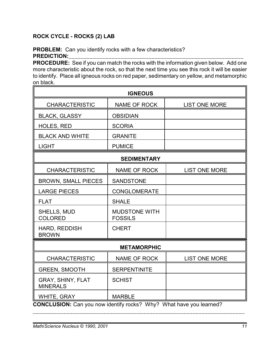# **ROCK CYCLE - ROCKS (2) LAB**

# **PROBLEM:** Can you identify rocks with a few characteristics? PREDICTION:

**PROCEDURE:** See if you can match the rocks with the information given below. Add one more characteristic about the rock, so that the next time you see this rock it will be easier to identify. Place all igneous rocks on red paper, sedimentary on yellow, and metamorphic on black.

| <b>IGNEOUS</b>                                                      |                                        |                      |  |
|---------------------------------------------------------------------|----------------------------------------|----------------------|--|
| <b>CHARACTERISTIC</b>                                               | <b>NAME OF ROCK</b>                    | <b>LIST ONE MORE</b> |  |
| <b>BLACK, GLASSY</b>                                                | <b>OBSIDIAN</b>                        |                      |  |
| <b>HOLES, RED</b>                                                   | <b>SCORIA</b>                          |                      |  |
| <b>BLACK AND WHITE</b>                                              | <b>GRANITE</b>                         |                      |  |
| <b>LIGHT</b>                                                        | <b>PUMICE</b>                          |                      |  |
| <b>SEDIMENTARY</b>                                                  |                                        |                      |  |
| <b>CHARACTERISTIC</b>                                               | NAME OF ROCK                           | <b>LIST ONE MORE</b> |  |
| <b>BROWN, SMALL PIECES</b>                                          | <b>SANDSTONE</b>                       |                      |  |
| <b>LARGE PIECES</b>                                                 | <b>CONGLOMERATE</b>                    |                      |  |
| <b>FLAT</b>                                                         | <b>SHALE</b>                           |                      |  |
| <b>SHELLS, MUD</b><br><b>COLORED</b>                                | <b>MUDSTONE WITH</b><br><b>FOSSILS</b> |                      |  |
| HARD, REDDISH<br><b>BROWN</b>                                       | <b>CHERT</b>                           |                      |  |
| <b>METAMORPHIC</b>                                                  |                                        |                      |  |
| <b>CHARACTERISTIC</b>                                               | <b>NAME OF ROCK</b>                    | <b>LIST ONE MORE</b> |  |
| <b>GREEN, SMOOTH</b>                                                | <b>SERPENTINITE</b>                    |                      |  |
| GRAY, SHINY, FLAT<br><b>MINERALS</b>                                | <b>SCHIST</b>                          |                      |  |
| WHITE, GRAY                                                         | <b>MARBLE</b>                          |                      |  |
| CONCLUSION: Can you now identify rocks? Why? What have you learned? |                                        |                      |  |

\_\_\_\_\_\_\_\_\_\_\_\_\_\_\_\_\_\_\_\_\_\_\_\_\_\_\_\_\_\_\_\_\_\_\_\_\_\_\_\_\_\_\_\_\_\_\_\_\_\_\_\_\_\_\_\_\_\_\_\_\_\_\_\_\_\_\_\_\_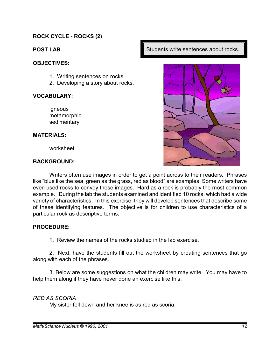# **ROCK CYCLE - ROCKS (2)**

# **POST LAB**

## **OBJECTIVES:**

- 1. Writing sentences on rocks.
- 2. Developing a story about rocks.

## **VOCABULARY:**

igneous metamorphic sedimentary

#### **MATERIALS:**

worksheet

## **BACKGROUND:**

Writers often use images in order to get a point across to their readers. Phrases like "blue like the sea, green as the grass, red as blood" are examples. Some writers have even used rocks to convey these images. Hard as a rock is probably the most common example. During the lab the students examined and identified 10 rocks, which had a wide variety of characteristics. In this exercise, they will develop sentences that describe some of these identifying features. The objective is for children to use characteristics of a particular rock as descriptive terms.

## **PROCEDURE:**

1. Review the names of the rocks studied in the lab exercise.

2. Next, have the students fill out the worksheet by creating sentences that go along with each of the phrases.

3. Below are some suggestions on what the children may write. You may have to help them along if they have never done an exercise like this.

# *RED AS SCORIA*

My sister fell down and her knee is as red as scoria.

Students write sentences about rocks.

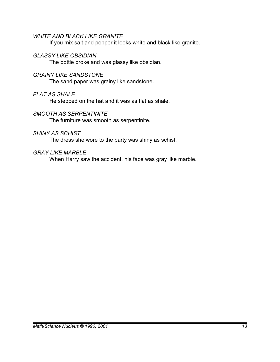## *WHITE AND BLACK LIKE GRANITE*

If you mix salt and pepper it looks white and black like granite.

## *GLASSY LIKE OBSIDIAN*

The bottle broke and was glassy like obsidian.

## *GRAINY LIKE SANDSTONE*

The sand paper was grainy like sandstone.

## *FLAT AS SHALE*

He stepped on the hat and it was as flat as shale.

## *SMOOTH AS SERPENTINITE*

The furniture was smooth as serpentinite.

## *SHINY AS SCHIST*

The dress she wore to the party was shiny as schist.

## *GRAY LIKE MARBLE*

When Harry saw the accident, his face was gray like marble.